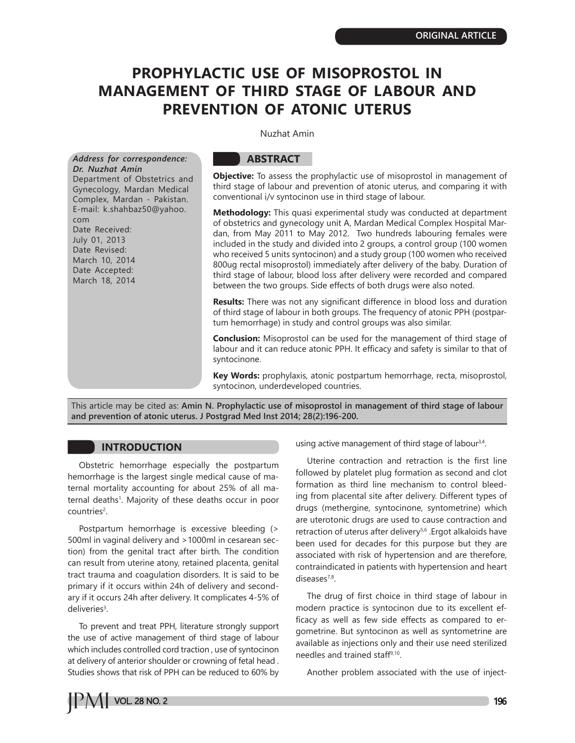# **PROPHYLACTIC USE OF MISOPROSTOL IN MANAGEMENT OF THIRD STAGE OF LABOUR AND PREVENTION OF ATONIC UTERUS**

Nuzhat Amin

*Address for correspondence: Dr. Nuzhat Amin*

Department of Obstetrics and Gynecology, Mardan Medical Complex, Mardan - Pakistan. E-mail: k.shahbaz50@yahoo. com Date Received: July 01, 2013 Date Revised: March 10, 2014 Date Accepted: March 18, 2014

# **ABSTRACT**

**Objective:** To assess the prophylactic use of misoprostol in management of third stage of labour and prevention of atonic uterus, and comparing it with conventional i/v syntocinon use in third stage of labour.

**Methodology:** This quasi experimental study was conducted at department of obstetrics and gynecology unit A, Mardan Medical Complex Hospital Mardan, from May 2011 to May 2012. Two hundreds labouring females were included in the study and divided into 2 groups, a control group (100 women who received 5 units syntocinon) and a study group (100 women who received 800ug rectal misoprostol) immediately after delivery of the baby. Duration of third stage of labour, blood loss after delivery were recorded and compared between the two groups. Side effects of both drugs were also noted.

**Results:** There was not any significant difference in blood loss and duration of third stage of labour in both groups. The frequency of atonic PPH (postpartum hemorrhage) in study and control groups was also similar.

**Conclusion:** Misoprostol can be used for the management of third stage of labour and it can reduce atonic PPH. It efficacy and safety is similar to that of syntocinone.

**Key Words:** prophylaxis, atonic postpartum hemorrhage, recta, misoprostol, syntocinon, underdeveloped countries.

This article may be cited as: **Amin N. Prophylactic use of misoprostol in management of third stage of labour and prevention of atonic uterus. J Postgrad Med Inst 2014; 28(2):196-200.**

# **INTRODUCTION**

Obstetric hemorrhage especially the postpartum hemorrhage is the largest single medical cause of maternal mortality accounting for about 25% of all maternal deaths1 . Majority of these deaths occur in poor countries<sup>2</sup>.

Postpartum hemorrhage is excessive bleeding (> 500ml in vaginal delivery and >1000ml in cesarean section) from the genital tract after birth. The condition can result from uterine atony, retained placenta, genital tract trauma and coagulation disorders. It is said to be primary if it occurs within 24h of delivery and secondary if it occurs 24h after delivery. It complicates 4-5% of deliveries<sup>3</sup>.

To prevent and treat PPH, literature strongly support the use of active management of third stage of labour which includes controlled cord traction , use of syntocinon at delivery of anterior shoulder or crowning of fetal head . Studies shows that risk of PPH can be reduced to 60% by using active management of third stage of labour<sup>3,4</sup>.

Uterine contraction and retraction is the first line followed by platelet plug formation as second and clot formation as third line mechanism to control bleeding from placental site after delivery. Different types of drugs (methergine, syntocinone, syntometrine) which are uterotonic drugs are used to cause contraction and retraction of uterus after delivery<sup>5,6</sup> .Ergot alkaloids have been used for decades for this purpose but they are associated with risk of hypertension and are therefore, contraindicated in patients with hypertension and heart diseases<sup>7,8</sup>.

The drug of first choice in third stage of labour in modern practice is syntocinon due to its excellent efficacy as well as few side effects as compared to ergometrine. But syntocinon as well as syntometrine are available as injections only and their use need sterilized needles and trained staff9,10.

Another problem associated with the use of inject-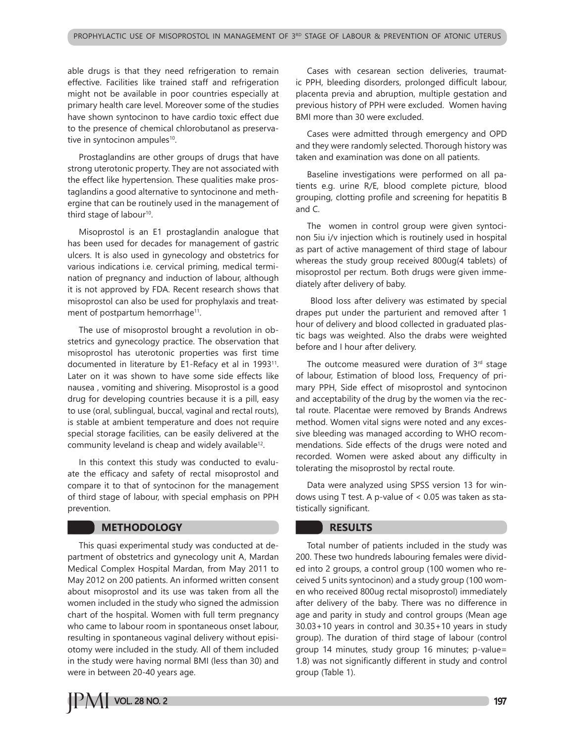able drugs is that they need refrigeration to remain effective. Facilities like trained staff and refrigeration might not be available in poor countries especially at primary health care level. Moreover some of the studies have shown syntocinon to have cardio toxic effect due to the presence of chemical chlorobutanol as preservative in syntocinon ampules<sup>10</sup>.

Prostaglandins are other groups of drugs that have strong uterotonic property. They are not associated with the effect like hypertension. These qualities make prostaglandins a good alternative to syntocinone and methergine that can be routinely used in the management of third stage of labour<sup>10</sup>.

Misoprostol is an E1 prostaglandin analogue that has been used for decades for management of gastric ulcers. It is also used in gynecology and obstetrics for various indications i.e. cervical priming, medical termination of pregnancy and induction of labour, although it is not approved by FDA. Recent research shows that misoprostol can also be used for prophylaxis and treatment of postpartum hemorrhage<sup>11</sup>.

The use of misoprostol brought a revolution in obstetrics and gynecology practice. The observation that misoprostol has uterotonic properties was first time documented in literature by E1-Refacy et al in 1993<sup>11</sup>. Later on it was shown to have some side effects like nausea , vomiting and shivering. Misoprostol is a good drug for developing countries because it is a pill, easy to use (oral, sublingual, buccal, vaginal and rectal routs), is stable at ambient temperature and does not require special storage facilities, can be easily delivered at the community leveland is cheap and widely available<sup>12</sup>.

In this context this study was conducted to evaluate the efficacy and safety of rectal misoprostol and compare it to that of syntocinon for the management of third stage of labour, with special emphasis on PPH prevention.

# **METHODOLOGY**

This quasi experimental study was conducted at department of obstetrics and gynecology unit A, Mardan Medical Complex Hospital Mardan, from May 2011 to May 2012 on 200 patients. An informed written consent about misoprostol and its use was taken from all the women included in the study who signed the admission chart of the hospital. Women with full term pregnancy who came to labour room in spontaneous onset labour, resulting in spontaneous vaginal delivery without episiotomy were included in the study. All of them included in the study were having normal BMI (less than 30) and were in between 20-40 years age.

Cases with cesarean section deliveries, traumatic PPH, bleeding disorders, prolonged difficult labour, placenta previa and abruption, multiple gestation and previous history of PPH were excluded. Women having BMI more than 30 were excluded.

Cases were admitted through emergency and OPD and they were randomly selected. Thorough history was taken and examination was done on all patients.

Baseline investigations were performed on all patients e.g. urine R/E, blood complete picture, blood grouping, clotting profile and screening for hepatitis B and C.

The women in control group were given syntocinon 5iu i/v injection which is routinely used in hospital as part of active management of third stage of labour whereas the study group received 800ug(4 tablets) of misoprostol per rectum. Both drugs were given immediately after delivery of baby.

 Blood loss after delivery was estimated by special drapes put under the parturient and removed after 1 hour of delivery and blood collected in graduated plastic bags was weighted. Also the drabs were weighted before and I hour after delivery.

The outcome measured were duration of  $3<sup>rd</sup>$  stage of labour, Estimation of blood loss, Frequency of primary PPH, Side effect of misoprostol and syntocinon and acceptability of the drug by the women via the rectal route. Placentae were removed by Brands Andrews method. Women vital signs were noted and any excessive bleeding was managed according to WHO recommendations. Side effects of the drugs were noted and recorded. Women were asked about any difficulty in tolerating the misoprostol by rectal route.

Data were analyzed using SPSS version 13 for windows using T test. A p-value of < 0.05 was taken as statistically significant.

# **RESULTS**

Total number of patients included in the study was 200. These two hundreds labouring females were divided into 2 groups, a control group (100 women who received 5 units syntocinon) and a study group (100 women who received 800ug rectal misoprostol) immediately after delivery of the baby. There was no difference in age and parity in study and control groups (Mean age 30.03+10 years in control and 30.35+10 years in study group). The duration of third stage of labour (control group 14 minutes, study group 16 minutes; p-value= 1.8) was not significantly different in study and control group (Table 1).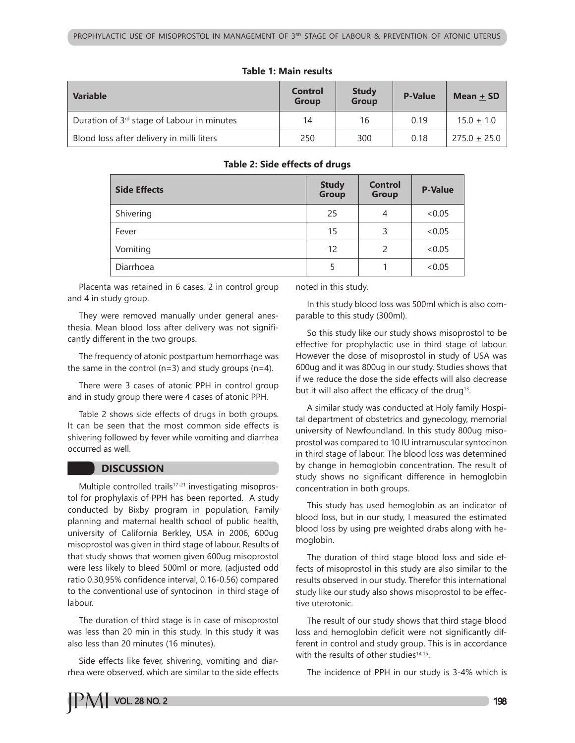| <b>Variable</b>                                        | <b>Control</b><br><b>Group</b> | <b>Study</b><br><b>Group</b> | <b>P-Value</b> | Mean + SD        |
|--------------------------------------------------------|--------------------------------|------------------------------|----------------|------------------|
| Duration of 3 <sup>rd</sup> stage of Labour in minutes | 14                             | 16                           | 0.19           | $15.0 + 1.0$     |
| Blood loss after delivery in milli liters              | 250                            | 300                          | 0.18           | $275.0 \pm 25.0$ |

#### **Table 1: Main results**

#### **Table 2: Side effects of drugs**

| <b>Side Effects</b> | <b>Study</b><br>Group | <b>Control</b><br>Group | <b>P-Value</b> |
|---------------------|-----------------------|-------------------------|----------------|
| Shivering           | 25                    | 4                       | <0.05          |
| Fever               | 15                    | 3                       | <0.05          |
| Vomiting            | 12                    | $\overline{c}$          | <0.05          |
| Diarrhoea           | 5                     |                         | <0.05          |

Placenta was retained in 6 cases, 2 in control group and 4 in study group.

They were removed manually under general anesthesia. Mean blood loss after delivery was not significantly different in the two groups.

The frequency of atonic postpartum hemorrhage was the same in the control ( $n=3$ ) and study groups ( $n=4$ ).

There were 3 cases of atonic PPH in control group and in study group there were 4 cases of atonic PPH.

Table 2 shows side effects of drugs in both groups. It can be seen that the most common side effects is shivering followed by fever while vomiting and diarrhea occurred as well.

#### **DISCUSSION**

Multiple controlled trails<sup>17-21</sup> investigating misoprostol for prophylaxis of PPH has been reported. A study conducted by Bixby program in population, Family planning and maternal health school of public health, university of California Berkley, USA in 2006, 600ug misoprostol was given in third stage of labour. Results of that study shows that women given 600ug misoprostol were less likely to bleed 500ml or more, (adjusted odd ratio 0.30,95% confidence interval, 0.16-0.56) compared to the conventional use of syntocinon in third stage of labour.

The duration of third stage is in case of misoprostol was less than 20 min in this study. In this study it was also less than 20 minutes (16 minutes).

Side effects like fever, shivering, vomiting and diarrhea were observed, which are similar to the side effects noted in this study.

In this study blood loss was 500ml which is also comparable to this study (300ml).

So this study like our study shows misoprostol to be effective for prophylactic use in third stage of labour. However the dose of misoprostol in study of USA was 600ug and it was 800ug in our study. Studies shows that if we reduce the dose the side effects will also decrease but it will also affect the efficacy of the drug<sup>13</sup>.

A similar study was conducted at Holy family Hospital department of obstetrics and gynecology, memorial university of Newfoundland. In this study 800ug misoprostol was compared to 10 IU intramuscular syntocinon in third stage of labour. The blood loss was determined by change in hemoglobin concentration. The result of study shows no significant difference in hemoglobin concentration in both groups.

This study has used hemoglobin as an indicator of blood loss, but in our study, I measured the estimated blood loss by using pre weighted drabs along with hemoglobin.

The duration of third stage blood loss and side effects of misoprostol in this study are also similar to the results observed in our study. Therefor this international study like our study also shows misoprostol to be effective uterotonic.

The result of our study shows that third stage blood loss and hemoglobin deficit were not significantly different in control and study group. This is in accordance with the results of other studies<sup>14,15</sup>.

The incidence of PPH in our study is 3-4% which is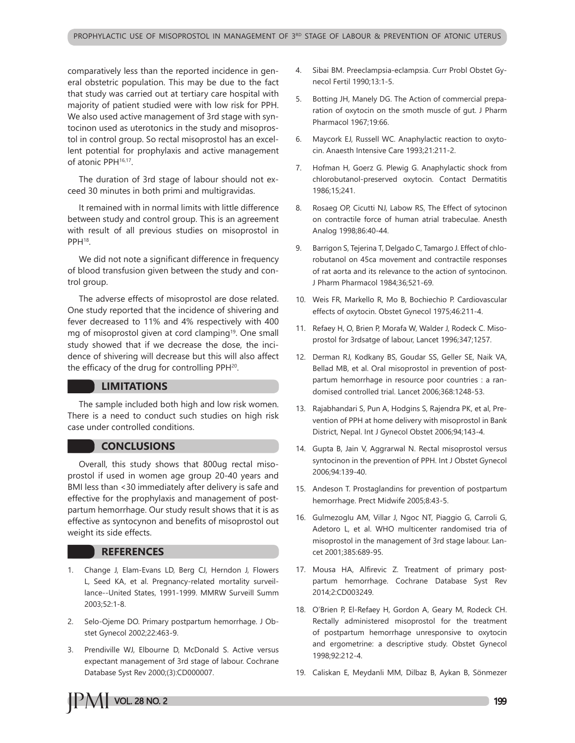comparatively less than the reported incidence in general obstetric population. This may be due to the fact that study was carried out at tertiary care hospital with majority of patient studied were with low risk for PPH. We also used active management of 3rd stage with syntocinon used as uterotonics in the study and misoprostol in control group. So rectal misoprostol has an excellent potential for prophylaxis and active management of atonic PPH<sup>16,17</sup>.

The duration of 3rd stage of labour should not exceed 30 minutes in both primi and multigravidas.

It remained with in normal limits with little difference between study and control group. This is an agreement with result of all previous studies on misoprostol in PPH<sup>18</sup>.

We did not note a significant difference in frequency of blood transfusion given between the study and control group.

The adverse effects of misoprostol are dose related. One study reported that the incidence of shivering and fever decreased to 11% and 4% respectively with 400 mg of misoprostol given at cord clamping<sup>19</sup>. One small study showed that if we decrease the dose, the incidence of shivering will decrease but this will also affect the efficacy of the drug for controlling PPH<sup>20</sup>.

# **LIMITATIONS**

The sample included both high and low risk women. There is a need to conduct such studies on high risk case under controlled conditions.

#### **CONCLUSIONS**

Overall, this study shows that 800ug rectal misoprostol if used in women age group 20-40 years and BMI less than <30 immediately after delivery is safe and effective for the prophylaxis and management of postpartum hemorrhage. Our study result shows that it is as effective as syntocynon and benefits of misoprostol out weight its side effects.

#### **REFERENCES**

- 1. Change J, Elam-Evans LD, Berg CJ, Herndon J, Flowers L, Seed KA, et al. Pregnancy-related mortality surveillance--United States, 1991-1999. MMRW Surveill Summ 2003;52:1-8.
- 2. Selo-Ojeme DO. Primary postpartum hemorrhage. J Obstet Gynecol 2002;22:463-9.
- 3. Prendiville WJ, Elbourne D, McDonald S. Active versus expectant management of 3rd stage of labour. Cochrane Database Syst Rev 2000;(3):CD000007.
- 4. Sibai BM. Preeclampsia-eclampsia. Curr Probl Obstet Gynecol Fertil 1990;13:1-5.
- 5. Botting JH, Manely DG. The Action of commercial preparation of oxytocin on the smoth muscle of gut. J Pharm Pharmacol 1967;19:66.
- 6. Maycork EJ, Russell WC. Anaphylactic reaction to oxytocin. Anaesth Intensive Care 1993;21:211-2.
- 7. Hofman H, Goerz G. Plewig G. Anaphylactic shock from chlorobutanol-preserved oxytocin. Contact Dermatitis 1986;15;241.
- 8. Rosaeg OP, Cicutti NJ, Labow RS, The Effect of sytocinon on contractile force of human atrial trabeculae. Anesth Analog 1998;86:40-44.
- 9. Barrigon S, Tejerina T, Delgado C, Tamargo J. Effect of chlorobutanol on 45ca movement and contractile responses of rat aorta and its relevance to the action of syntocinon. J Pharm Pharmacol 1984;36;521-69.
- 10. Weis FR, Markello R, Mo B, Bochiechio P. Cardiovascular effects of oxytocin. Obstet Gynecol 1975;46:211-4.
- 11. Refaey H, O, Brien P, Morafa W, Walder J, Rodeck C. Misoprostol for 3rdsatge of labour, Lancet 1996;347;1257.
- 12. Derman RJ, Kodkany BS, Goudar SS, Geller SE, Naik VA, Bellad MB, et al. Oral misoprostol in prevention of postpartum hemorrhage in resource poor countries : a randomised controlled trial. Lancet 2006;368:1248-53.
- 13. Rajabhandari S, Pun A, Hodgins S, Rajendra PK, et al, Prevention of PPH at home delivery with misoprostol in Bank District, Nepal. Int J Gynecol Obstet 2006;94;143-4.
- 14. Gupta B, Jain V, Aggrarwal N. Rectal misoprostol versus syntocinon in the prevention of PPH. Int J Obstet Gynecol 2006;94:139-40.
- 15. Andeson T. Prostaglandins for prevention of postpartum hemorrhage. Prect Midwife 2005;8:43-5.
- 16. Gulmezoglu AM, Villar J, Ngoc NT, Piaggio G, Carroli G, Adetoro L, et al. WHO multicenter randomised tria of misoprostol in the management of 3rd stage labour. Lancet 2001;385:689-95.
- 17. Mousa HA, Alfirevic Z. Treatment of primary postpartum hemorrhage. Cochrane Database Syst Rev 2014;2:CD003249.
- 18. O'Brien P, El-Refaey H, Gordon A, Geary M, Rodeck CH. Rectally administered misoprostol for the treatment of postpartum hemorrhage unresponsive to oxytocin and ergometrine: a descriptive study. Obstet Gynecol 1998;92:212-4.
- 19. Caliskan E, Meydanli MM, Dilbaz B, Aykan B, Sönmezer